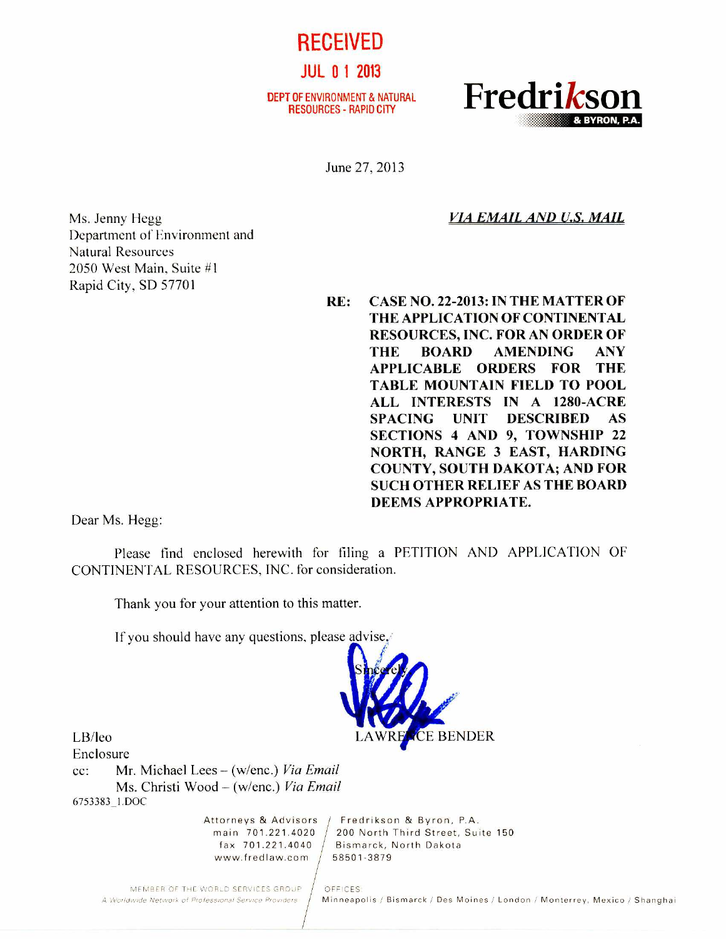RECEIVED JUL 0 1 2013

DEPT OF ENVIRONMENT & NATURAL



June 27.2013

*VIA EMAIL AND U.S. MAIL* 

Ms. Jenny Hegg Department of Environment and Natural Resources 2050 West Main, Suite #1 Rapid City, SD 57701

**RE: CASE NO. 22-2013: IN THE MATTER OF THE APPLICATION OF CONTINENTAL RESOURCES, INC. FOR AN ORDER OF THE BOARD AMENDING ANY APPLICABLE ORDERS FOR THE TABLE MOUNTAIN FIELD TO POOL ALL INTERESTS IN A 1280-ACRE SPACING UNIT DESCRIBED AS SECTIONS 4 AND 9, TOWNSHIP 22 NORTH, RANGE 3 EAST, HARDING COUNTY, SOUTH DAKOTA; AND FOR SUCH OTHER RELIEF AS THE BOARD DEEMS APPROPRIATE.** 

Dear Ms. Hegg:

Please find enclosed herewith for filing a PETITION AND APPLICATION OF CONTINENTAL RESOURCES, INC. for consideration.

Thank you for your attention to this matter.

If you should have any questions, please advise,



LB/leo

Enclosure cc: Mr. Michael Lees — (w/enc.) *Via Email*  Ms. Christi Wood — (w/enc.) *Via Email*  6753383\_1.DOC

www.fredlaw.com  $/$  58501-3879

Attorneys & Advisors / Fredrikson & Byron, P.A. main 701.221.4020 200 North Third Street, Suite 150 Bismarck, North Dakota

MEMBER OF THE WORLD SERVICES GROUP | OFFICES:<br>A Worldwide Network of Professional Service Providers | Minneapi

Minneapolis / Bismarck / Des Moines / London / Monterrey, Mexico / Shanghai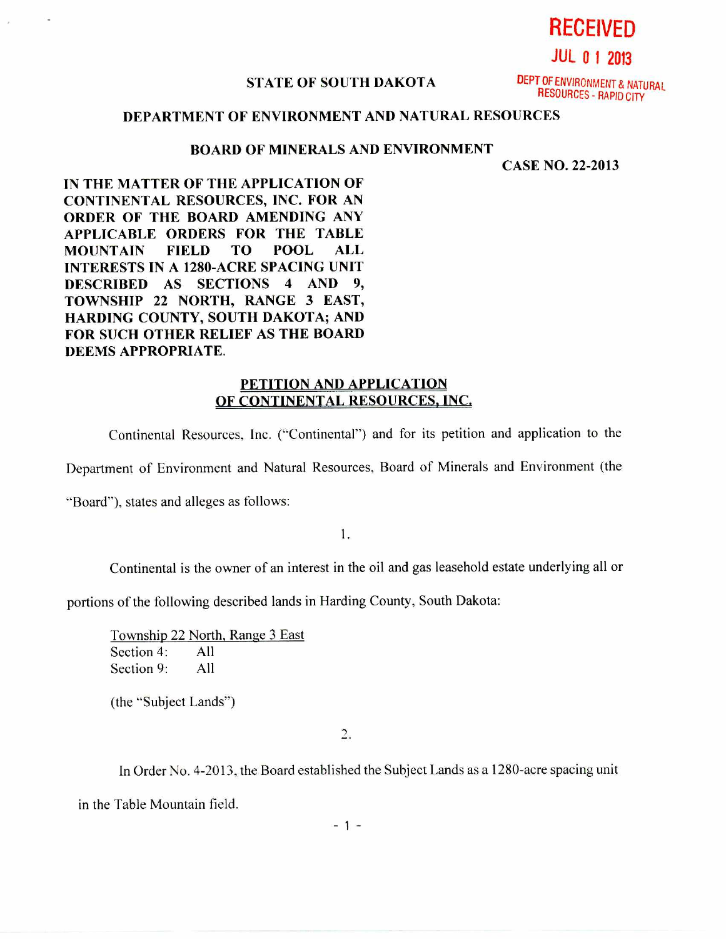**RECEIVED** 

**JUL 0 1 2013** 

## **STATE OF SOUTH DAKOTA**

DEPT OF ENVIRONMENT & NATURAL RESOURCES - RAPID CITY

## **DEPARTMENT OF ENVIRONMENT AND NATURAL RESOURCES**

## **BOARD OF MINERALS AND ENVIRONMENT**

**CASE NO. 22-2013** 

**IN THE MATTER OF THE APPLICATION OF CONTINENTAL RESOURCES, INC. FOR AN ORDER OF THE BOARD AMENDING ANY APPLICABLE ORDERS FOR THE TABLE MOUNTAIN FIELD TO POOL ALL INTERESTS IN A 1280-ACRE SPACING UNIT DESCRIBED AS SECTIONS 4 AND 9, TOWNSHIP 22 NORTH, RANGE 3 EAST, HARDING COUNTY, SOUTH DAKOTA; AND FOR SUCH OTHER RELIEF AS THE BOARD DEEMS APPROPRIATE.** 

## **PETITION AND APPLICATION OF CONTINENTAL RESOURCES, INC.**

Continental Resources, Inc. ("Continental") and for its petition and application to the

Department of Environment and Natural Resources, Board of Minerals and Environment (the

"Board"), states and alleges as follows:

1.

Continental is the owner of an interest in the oil and gas leasehold estate underlying all or

portions of the following described lands in Harding County, South Dakota:

Township 22 North, Range 3 East Section 4: All Section 9: All

(the "Subject Lands")

 $2.$ 

In Order No. 4-2013, the Board established the Subject Lands as a 1280-acre spacing unit

in the Table Mountain field.

 $-1 -$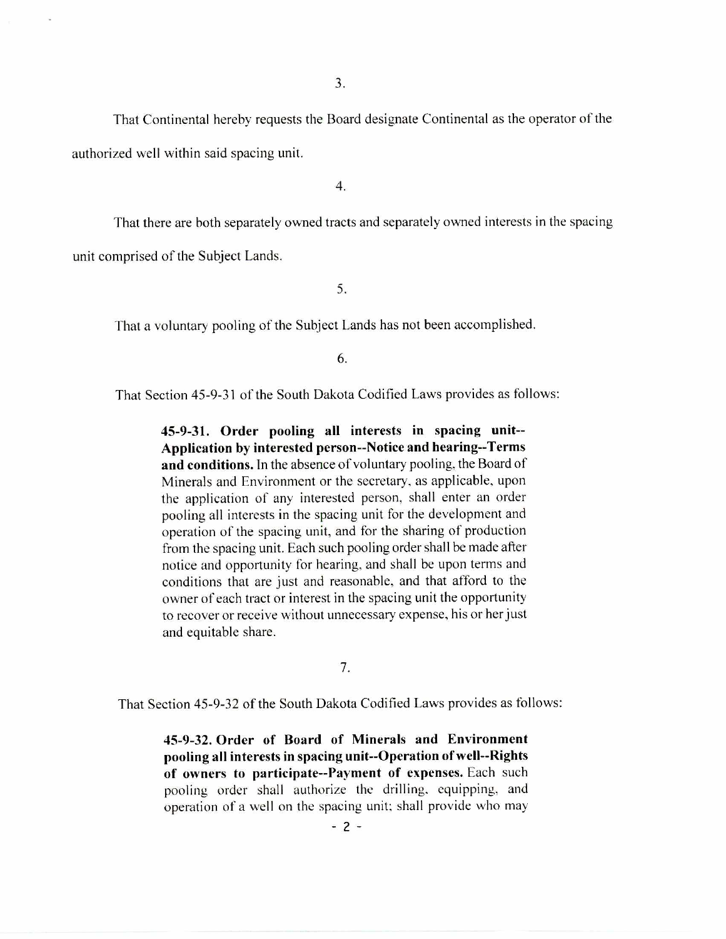That Continental hereby requests the Board designate Continental as the operator of the authorized well within said spacing unit.

4.

That there are both separately owned tracts and separately owned interests in the spacing unit comprised of the Subject Lands.

5.

That a voluntary pooling of the Subject Lands has not been accomplished.

6.

That Section 45-9-31 of the South Dakota Codified Laws provides as follows:

**45-9-31. Order pooling all interests in spacing unit-- Application by interested person--Notice and hearing--Terms and conditions.** In the absence of voluntary pooling, the Board of Minerals and Environment or the secretary, as applicable, upon the application of any interested person, shall enter an order pooling all interests in the spacing unit for the development and operation of the spacing unit, and for the sharing of production from the spacing unit. Each such pooling order shall be made after notice and opportunity for hearing, and shall be upon terms and conditions that are just and reasonable, and that afford to the owner of each tract or interest in the spacing unit the opportunity to recover or receive without unnecessary expense, his or her just and equitable share.

7.

That Section 45-9-32 of the South Dakota Codified Laws provides as follows:

**45-9-32. Order of Board of Minerals and Environment pooling all interests in spacing unit--Operation of well--Rights of owners to participate--Payment of expenses.** Each such pooling order shall authorize the drilling. equipping, and operation of a well on the spacing unit; shall provide who may